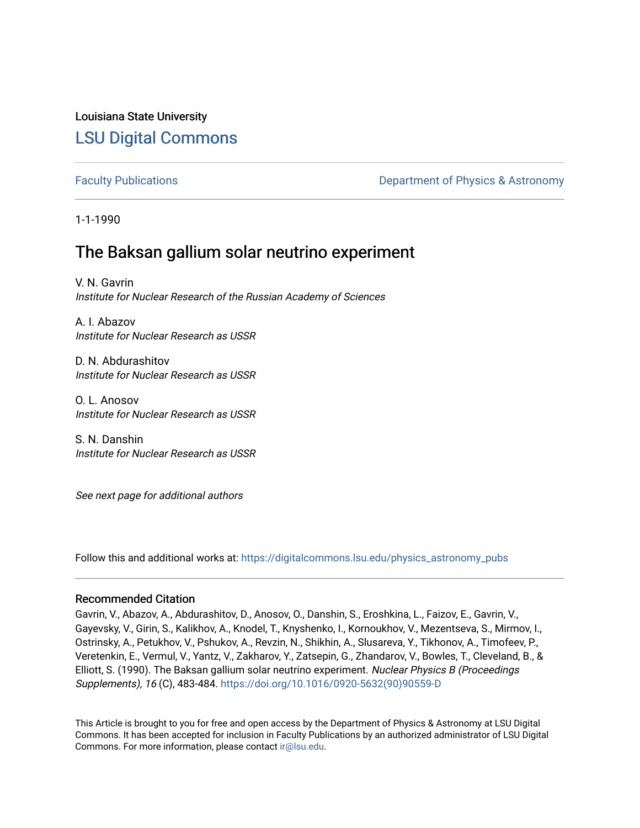# Louisiana State University [LSU Digital Commons](https://digitalcommons.lsu.edu/)

[Faculty Publications](https://digitalcommons.lsu.edu/physics_astronomy_pubs) **Example 2** Constant Department of Physics & Astronomy

1-1-1990

# The Baksan gallium solar neutrino experiment

V. N. Gavrin Institute for Nuclear Research of the Russian Academy of Sciences

A. I. Abazov Institute for Nuclear Research as USSR

D. N. Abdurashitov Institute for Nuclear Research as USSR

O. L. Anosov Institute for Nuclear Research as USSR

S. N. Danshin Institute for Nuclear Research as USSR

See next page for additional authors

Follow this and additional works at: [https://digitalcommons.lsu.edu/physics\\_astronomy\\_pubs](https://digitalcommons.lsu.edu/physics_astronomy_pubs?utm_source=digitalcommons.lsu.edu%2Fphysics_astronomy_pubs%2F783&utm_medium=PDF&utm_campaign=PDFCoverPages) 

## Recommended Citation

Gavrin, V., Abazov, A., Abdurashitov, D., Anosov, O., Danshin, S., Eroshkina, L., Faizov, E., Gavrin, V., Gayevsky, V., Girin, S., Kalikhov, A., Knodel, T., Knyshenko, I., Kornoukhov, V., Mezentseva, S., Mirmov, I., Ostrinsky, A., Petukhov, V., Pshukov, A., Revzin, N., Shikhin, A., Slusareva, Y., Tikhonov, A., Timofeev, P., Veretenkin, E., Vermul, V., Yantz, V., Zakharov, Y., Zatsepin, G., Zhandarov, V., Bowles, T., Cleveland, B., & Elliott, S. (1990). The Baksan gallium solar neutrino experiment. Nuclear Physics B (Proceedings Supplements), 16 (C), 483-484. [https://doi.org/10.1016/0920-5632\(90\)90559-D](https://doi.org/10.1016/0920-5632(90)90559-D)

This Article is brought to you for free and open access by the Department of Physics & Astronomy at LSU Digital Commons. It has been accepted for inclusion in Faculty Publications by an authorized administrator of LSU Digital Commons. For more information, please contact [ir@lsu.edu](mailto:ir@lsu.edu).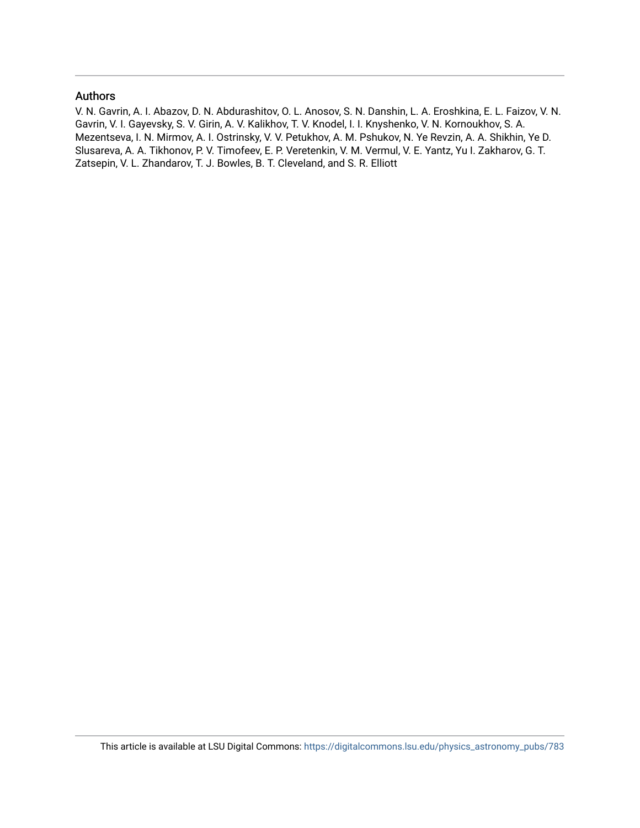### Authors

V. N. Gavrin, A. I. Abazov, D. N. Abdurashitov, O. L. Anosov, S. N. Danshin, L. A. Eroshkina, E. L. Faizov, V. N. Gavrin, V. I. Gayevsky, S. V. Girin, A. V. Kalikhov, T. V. Knodel, I. I. Knyshenko, V. N. Kornoukhov, S. A. Mezentseva, I. N. Mirmov, A. I. Ostrinsky, V. V. Petukhov, A. M. Pshukov, N. Ye Revzin, A. A. Shikhin, Ye D. Slusareva, A. A. Tikhonov, P. V. Timofeev, E. P. Veretenkin, V. M. Vermul, V. E. Yantz, Yu I. Zakharov, G. T. Zatsepin, V. L. Zhandarov, T. J. Bowles, B. T. Cleveland, and S. R. Elliott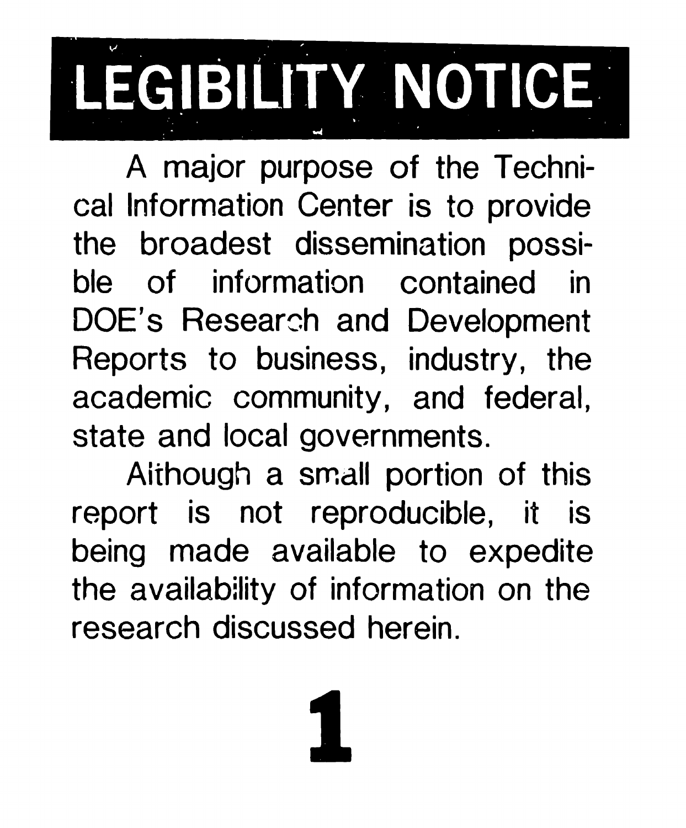# LEGIBILITY NOTICE

cat Information Center is to provide the broadest dissemination possible of information contained in A major purpose of the Techni-DOE'S Research and Development Reports to business, industry, the academic community, and federal, state and local governments.

Aithough a small portion of this report is not reproducible, it is being made available to expedite the availability of information on the research discussed herein.

1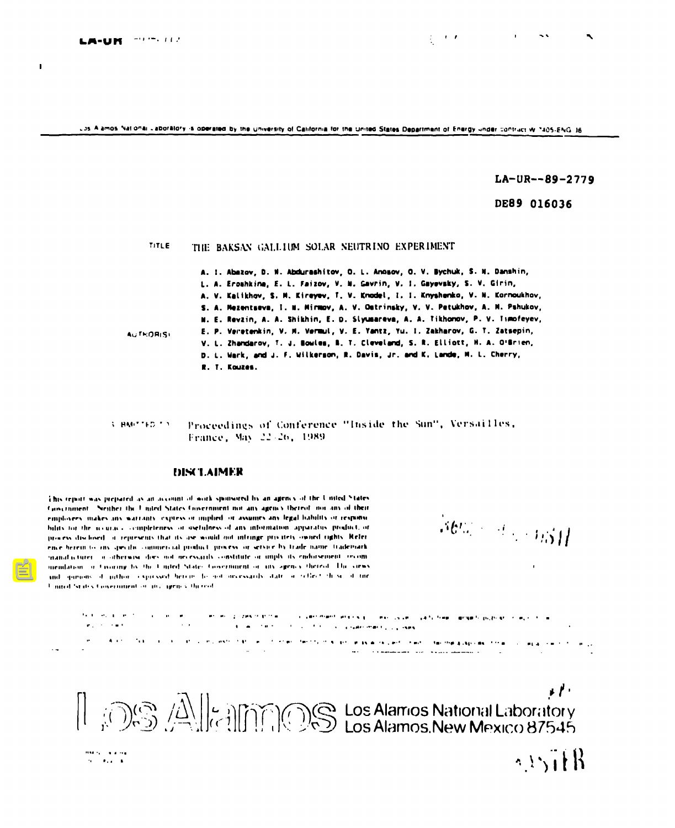$\mathbf{I}$ 

UDS A amos National Laboratory is operated by the university of California for the united States Department of Energy under contruct W 1405-ENG 16

LA-UR--89-2779

DE89 016036

## **TITLE THE BAKSAN GALLIUM SOLAR NEUTRINO EXPERIMENT**

**A. 1. Abzov, 0. II.AMmmhltov, O. L. Ancmv, O. V. Bychuk,S. H. Damhin, L. A. EroshkifwE. L. Fsizov,U. M. CWrin. V. 1. Gsyewky, S- v. Glrin, A. V. Kallkhov,S. M. Kireyw. f. V. Krdel, 1. 1. Knyshdo, V. M. Korfwkhov, S. A. Melamtswa,1. U. Mirmv, A. V. \*trinskV,V. V. Patukhw, A. M. Pshukov, N. E. Rovlin,A.** A. **Shikhin,E. D. SIWarova,** A. A. **likhmw, P. v. lImfeYev, A(irklYIWsI E. P. Vw@tmkin, V, U. VomJi, V. E. Vmtz, Yu. 1, Zakharw, G. T. Zatsepin, V. L. zh~rov, T. J, Em[gm, B. T. Clew(d, S. ~. Elliott,H. A. O'trlen, D. L. Mark, d J. F. Uilkerw!n,D. Dwi9, Jr. d K, 1-, M. L. Cherry, R. 1. Kwlas.**

Proceedings of Conference "Inside the Sun", Versailles, 3. BMPTED TO France, May 22-26, 1989

#### **1)1.S4"I.AIMIW**

This report was prepared as an account of work sponsored by an agency of the United States Gowernment. Neither the United States Government not any agency thereof nor any of their employees makes any warranty express or implied or assumes any legal hability or responsibility for the accuracy completeness or oscilulness of any information, apparatus, product, or process disclosed, it represents that its use would not inteinge procitely owned rights. Reference herein to any diecilic continencial product, process or service by trade name, trademark manufacturer, a otherwise does not necessarily constitute or unply its endorsement, recommembrion, or Civilians by the United States Government or any agency thereof. The views and spirious of puthor expressed betrief focused melessarily state or reflect those of the United States Concernment of any agency thereof.

 $\mathcal{A}\mathcal{C}^{\prime}=\mathcal{A}^{\prime}+\mathcal{A}\mathcal{B}\mathcal{A}^{\prime}$ 

,

.<br>Set music militar a component component proportional considerations and set in a particular comportance applie<br>Set more to component component and component of the construction of the component of the component of the co **., <sup>1</sup> -,.,.,., - .,..\*,.....,,,, ,.\*W,**

contact of the concentration of the concentration of the theory and the same of the contact of the state of the contact the contact of the contact of the contact of the contact of the contact of the contact of the contact **.- . \_\_\_\_\_\_\_ . . . . . . . . . . .. . . . .**

 $\mathbf{r}$ .  $\left\| \bigoplus_{i \in \mathbb{N}} \bigoplus_{i \in \mathbb{N}} \bigoplus_{j \in \mathbb{N}} \bigoplus_{j \in \mathbb{N}} \bigoplus_{j \in \mathbb{N}} \bigoplus_{j \in \mathbb{N}} \bigoplus_{j \in \mathbb{N}} \bigoplus_{j \in \mathbb{N}} \bigoplus_{j \in \mathbb{N}} \bigoplus_{j \in \mathbb{N}} \bigoplus_{j \in \mathbb{N}} \bigoplus_{j \in \mathbb{N}} \bigoplus_{j \in \mathbb{N}} \bigoplus_{j \in \mathbb{N}} \bigoplus_{j \in \mathbb{N}} \bigoplus_{j$ 



 $\sim$  SitR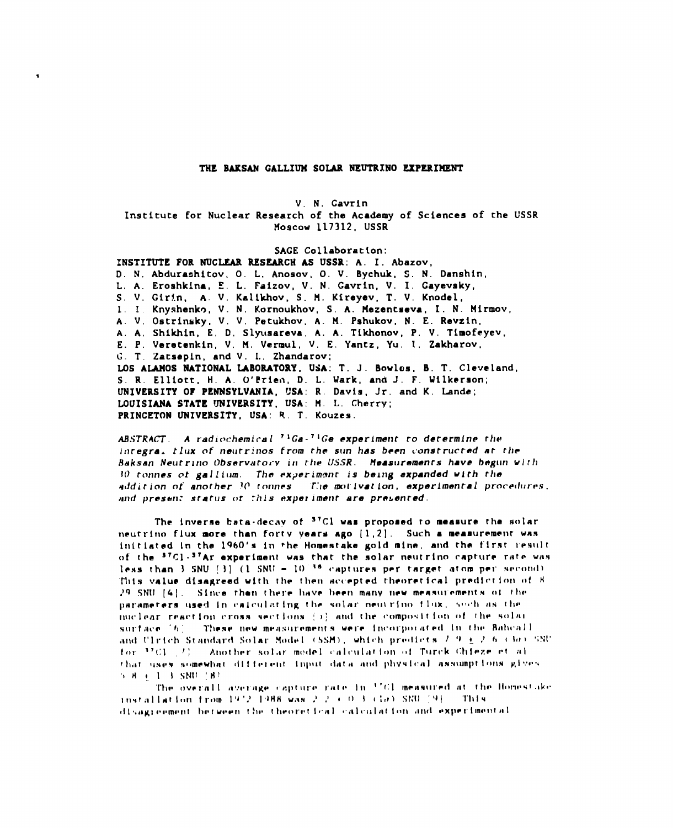#### **TNE BARSAN GALLIUM SOLAR NEUTRINO EEPERI?!ENT**

**V. N. Cavrin**

**Institute for Nuclear Research of the Academy of Sciences of che USSR MOSCOW 117312, USSR**

**SAGE Collaboration:**

**INSTITUTE FOR NUCLEAR RESEARCH AS USSR: A. I. Abazov, D. N, Abduraahltov, O. L. Anosov, O. V. Bychuk, S. N. Danshin,** L. A. **Eroshkina, E. L. Faizov, V. N. Gavrin, V. I. Gayevsky, S, V, Gir!.n, A. V. Kallkhov, S. H, Kireyev, T, V. Knodel, I. 1. Knyshenk9, V. N. Kornoukhov, S, A. Flezencseva, 1. N. tlirmov, A. V. Ostrinsky, V, V. Petukhov, A. H. Pshukov, N. E. Revzin, A, A, Shlkhin, E, D, Slyusareva, A, A. Tlkhonov, P, V. Tlmofeyev, E. P. Veretenkln, V. tl. Vermul, V. E. Yantz, Yu. 1, Zakharov, C. T. Zatsepin, and V. L. Zhandarov: LOS ALAHOS NATIONAL IABORATOItY, USA: T. J. Bowlos, B. T. Cleveland, S, R, Elliott, H. A. 0'Frien, D. L. Uark, and J. F. Wilkerson; UNIVERSITY OF PENNSYLVANIA, USA: R, Davis, Jr. and K. Lande; LOUISIANA STATE UNIVERSITY, USA: H. L. Cherry; PRINCETON UNIVERSITY, USA: R, T, Kouzes.**

**tM.STRhi7.** *A radiochemiral 7 ICa.7 IGe ~xperlmetlt ro derermine rhe* **lnreKra.** *tlux of* **neurr:nos** *frc)m* **rhe s!ln has been cwnsrrucred Ar** *rhr* Baksan Neutrino Observatory in the USSR. Measurements have begun with **10 ronnes CJt galli(mt.** *The* **experimmlr is balng axpanded wirh rho** *~ddirirm rIt' anorher 1('* **ronn~s 'T.'temorlvatlon, experlmenfal prore(l[lrr.s. md pres~n: srarl~s of :his expel imenr are presenred.**

The inverse bata-decay of <sup>37</sup>Cl was proposed to measure the solar neutrino flux more than forty years ago [1,2]. Such a measurement was initiated in the 1960's in the Homestake gold mine, and the first result of the <sup>37</sup>Cl-<sup>37</sup>Ar experiment was that the solar neutrino capture rate was less than 3 SNU [3]  $(1 \text{ SNU} - 10^{136} \text{ captures per target atom per second})$ This value disagreed with the then accepted theoretical prediction of 8 29 SNU [4]. Since then there have been many new measurements of the parameters used in calculating the solar neutrino flux, such as the nuclear reaction cross sections (b) and the composition of the solar surface [6]. These new measurements were incorporated in the Bahcall and Ulrich Standard Solar Model (SSM), which predicts  $7/9 \pm 2/6$  (30) SNU for 3701 [7]. Another solar model calculation of Turck Chieze et al. that uses somewhat different input data and physical assumptions gives  $5.8 + 1.3$  SNU  $\pm$ 81

The overall average capture rate in <sup>17</sup>Cl measured at the Homestake installation from 1972 1988 was 2.2 + 0.3 (ia) SRU [9]. This disagreement between the theoretical calculation and experimental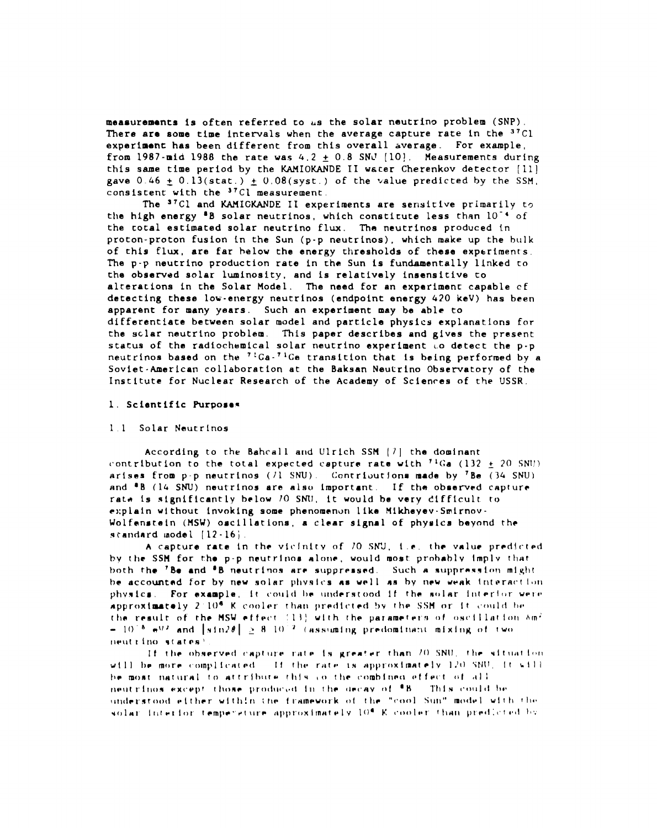**measurements is often referred co us the solar nautrino problem (SNP). There are some time intervals when the average capture rate in the 37C1 experiment has been different from this overall Average. For example, from** 1987-mid 1988 the rate was  $4.2 \pm 0.8$  SNJ  $[10]$ . Measurements during **this same time period by the KAMIoKANDE II wscer Cherenkov detector [11] gave**  $0.46 \pm 0.13(\text{stat.}) \pm 0.08(\text{syst.})$  of the value predicted by the SSM. **consistent with the 37C1 measurement,**

**The "Cl and WIGKANDE II experiments are sensitive primarily tn ~B solar neutrinos, the high energy which conaticute less than 10-4 of tha cocal estimated solar neutrino flux. The neutrinos produced in proton-proton fusion Ln the Sun (p-p neutrinos), which make up the blllk of this flux, are far below the energy thresholds of chase experiments. The p-p neutrino production rate in the Sun is funcbmentally llnked co the observed solar luminosity, and is relatlvaly insensitive CO alterations in the Solar Model. The need for an** ●**xparimenc capable cf detecting these low-energy neutrinos (endpoint energy 4?0 keV) has been apparent for** ❑**any years. Such an experiment** ❑**ay be able CO differentiate between solar model and particle physics explanations for che sc.lar neutrino problem. This paper describes and glvas the present status of the radioch~mical solar neutrino experiment L.O detect the p-p neutrinos based on** the **7LGa-7'Ge transition that is being performed by a Soviet-American collaboration at the Baksan Neutrino Obsewatory of the Institute for Nuclear Research of the Academy of Scienres of the USSR.**

#### **1. Scientific purpoaa~**

#### **11 Solar Nmucrlnos**

**According to che Bahcall and Ulrich SSfl [/] che dominant** contribution to the total expected capture rate with  $^{74}Ga$  (132  $\pm$  20 SNU) **arises from p-p neurrino9 (11 SNU. Conrriout!ona made by 'Be (34 SNU) nnd aB (1G SNU) neutrinos are also important, If the oboetwed c~prure ratw 1s signiflcanrly below 70 sMl, it would he very dlfflcult ro** ●**xplaln without invoking some phenomenon like Iilkheyev-Smirnov - Wolfmnsr.eln (HSU) osclllatlons, a clear 9Lgnal of phyolcs beyond the**  $$ 

**A capcure rate in th~ vlclni[v of 70 SN'J, te. the value pr~d!rted hv [h- SSH for tho p-p neutrinos alor}~l would most prohahlv Implv** [h~tboth the 'Be and 'B neutrinos are suppressed. Such a suppression might be accounted for by new solar physics as well as by new weak interaction physics. For example, it could be understood if the solar interior were approximately 2:10<sup>6</sup> K cooler than predicted by the SSM or it could be the result of the MSW effect (13) with the parameters of oscillation Am<sup>2</sup>  $-10^{-8}$  e<sup>92</sup> and [sin2 $\theta$ ]  $\geq 8 \cdot 10^{-2}$  (assuming predominant mixing of two neutrino states?

If the observed capture rate is greater than 70 SNU, the situation will be more complicated. If the rate is approximately 120 SNU, it will be most natural to attribute this co-the combined effect of all neutrinos except those produced in the decay of <sup>8</sup>B. This could be understood either within the framework of the "cool Sun" model with the solar interior temperature approximately 10<sup>4</sup> K cooler than predicted by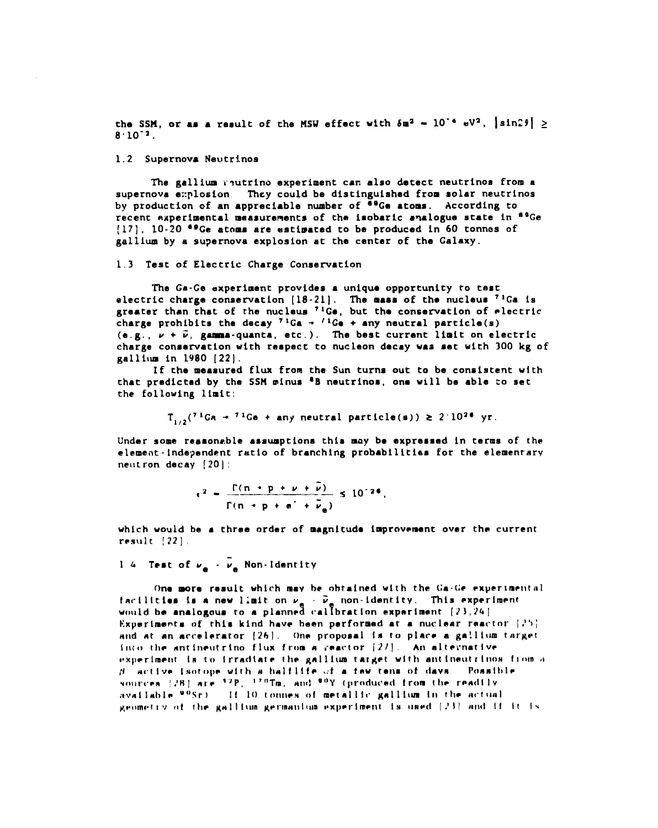**the** SSM, or am a result of the MSW effect with  $\delta m^2 - 10^{-4}$   $\text{eV}^2$ ,  $|\sin 2\theta| \ge$  $8 \cdot 10^{-2}$ .

#### **1.2 Supernova Neutrinos**

**The gallium t?utrino experiment can also detect neutrinos from a supernova explosion. They could be distingulahed from solar neutrinos by production of an appreciable number of as(h atoms. According to recenc experimental** ❑**easurements of the isobaric** ●**~alogue state in 'OGe [17], 10-20 aeGe atoms are estimated to be produced in 60 tonnes of galllum by a supernova explosion at the center of the Galaxy.**

#### 1.3 **Test of Electric Charge Conservation**

**The Ga-Ce experiment provides a uniquo opportunity to** test **electric charge conservation [18-21]. The** mass **of the nucleus 71Ca is greater than chat of the nucleus 'lGa, but tha consetwation of electric** charge **prohibits** the decay  $7^{1}Ga \rightarrow \frac{1}{1}Ga + \text{any neutral particle(s)}$  $(e.g., \nu + \tilde{\nu}, \text{gamma-quanta}, \text{etc.}).$  The best current limit on electric **charge conservation with respect to nucleon decay waa net with 300 kg of gallilua in 1980 [22].**

**If the** ❑**easured flux** from **the Sun turns out to be consistent with that predicted by the SSfl minus 'B neutrinos, onm will be able so set the following limit:**

 $T_{1/2}$ <sup>(71</sup>Ga + <sup>71</sup>Ge + any neutral particle(s)) **2**  $2 \cdot 10^{26}$  yr.

**Under some reasonable** ●**ssumptions this** ❑**ay b. expressed in terms of the** ●**lemeiit-!ndegendent ratio of branching probabilltiaa for the elemenrarv nelltron decay [20] :**

$$
\epsilon^2 = \frac{\Gamma(n + p + \nu + \nu)}{\Gamma(n + p + \sigma + \overline{\nu}_a)} \le 10^{-24}.
$$

which would be a three order of magnitude improvement over the current result  $[22]$ .

14 Test of  $\nu_a - \overline{\nu}_a$  Non-Identity

One more result which may be obtained with the Ga-Ge experimental facilities is a new limit on  $\nu_a$   $\cdot$   $\bar{\nu}_a$  non-identity. This experiment would be analogous to a planned callbration experiment [23,24] Experiments of this kind have been performed at a nuclear reactor  $(25)$ and at an accelerator [26]. One proposal is to place a gallium target into the antineutrino flux from a reactor  $\{2l\}$ . An alternative experiment is to irradiate the gallium target with antineutrinos from a  $\beta$  active isotope with a halflife of a few tens of days. Possible sources [28] are <sup>32</sup>P. <sup>170</sup>Tm, and <sup>90</sup>Y (produced from the readily available <sup>90</sup>Sr) . If 10 tonnes of metallic gallium in the actual geometry of the gallium germanium experiment is used [23] and if it is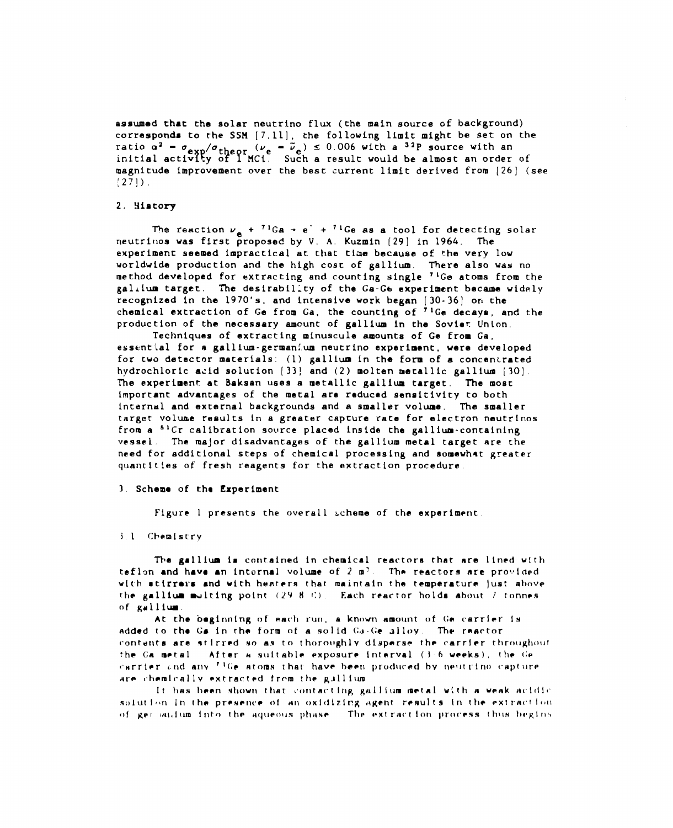**assumed that the solar neutrino flux (the** ❑**ain source of background) corresponds to the SSll [7,11], the following limit might be set on the ratio az - 0= /~t @ r (Me**  initial activity of I<sup>-</sup>  $\bar{\bm{\nu}}_{_{\bm{\Theta}}}$ )  $\leq$  0.006 with a  $^{32}$ P source with an **Such a result would be almost an order of magnitude improvement** *over* **the best current limit derived from [26] (see [27]).**

#### **2. ~iatory**

The reaction  $v_a + {}^{71}Ga \rightarrow e^+ + {}^{71}Ge$  as a tool for detecting solar **neutrit~os was first proposed by V, A. Kuzmin [29] in 1964. The experiment seemed impractical at that tiae because of the very 10V worldwide production and the high cost of gallium. There also was no method developed for extrac~ing and counting single 'lGe atoms from the galAium target. The desirability of the Ga-Ge experiment became widely recognized in the 1970's, and intensive work began [30-36] on che chemical extraction of Go from Ga, the counting of 71Ge decaym, and the production of the necessary amount of gallium in the Sovier Union.**

**Techniques of extracting** ❑**inuscule amounts of Ge from Ga, essential for A gallium- german~.um neutrino experiment, were developed for two detector** ❑**aterials: (1) gallium in che form of** a **concancrated hydrochloric acid solution [33! and (2) molten metallic gallium [30], The experiment at Baksan uses a metallic gallium target, The** ❑ **ost important advantages of the** ❑**etal are raduced sensi:ivicy to both internal and external backgrounds and** A **smaller volume, The smaller target volume results in a greater capcure rate for electron neutrinos from a 'lCr calibration source placed inside the gallium-containing vessel The major disadvantages of the galllum metal target are the**  $i$  **need** for additional steps of chemical processing and somewhat greater **quantlt!ea of fresh reagents for the extraction procedure,**

#### **3, Schema of tho Experiment**

**Figure 1 presents che overall i.theme of the experiment**

#### 3.1 Chemistry

The gallium is contained in chemical reactors that are lined with teflon and have an internal volume of  $2 \pi^2$ . The reactors are provided with atirrers and with heaters that maintain the temperature just above the gallium multing point (29-8-C). Each reactor holds about / tonnes of gallium

At the beginning of each run, a known amount of Ge carrier is added to the Ga in the form of a solid Ga-Ge alloy. The reactor contents are stirred so as to thoroughly disperse the carrier throughout After a suitable exposure interval (3-6 weeks), the Ge the Ga metal carrier and any <sup>71</sup>Ge atoms that have been produced by neutrino capture are chemically extracted from the gullium

It has been shown that contacting gallium metal with a weak acidic solution in the presence of an oxidizing agent results in the extraction of ger saidum into the aqueous phase. The extraction process thus begins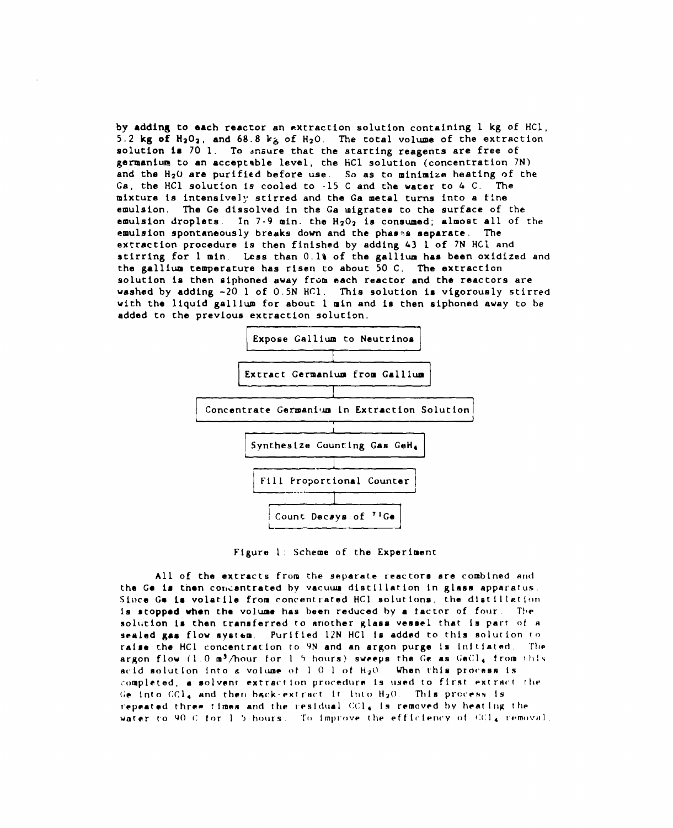*by* **adding to each reactor an extraction solution containing 1 kg of HC1, 5.2 kg ofH202, and 68.8 k~ of HzO. The total volume of the extraction solution in 70 1. To :zzure that the starting reagents are free of gerrnani~** tG **an acceptable level, the liCl solution (concentration 7N) and the H20 are purified before use. So as to minimize heating of the Ga, the HC1 solution is cooled to -15 C and the** water **to 4 C. The mixture is intensively stirred and the Ga** ❑**etal turns into a fine emulsion. The Ge dissolved in the Ga migrates to the surface of the emulsion droplets. In 7-9 min. the H202 is consumad; almost all of the emulsion spontaneously breaks down and the phao~s separate. The excraccion procedure is then finished by adding 43 1 of 7N HC.1 and stirring for 1** ❑**in. L.mss than 0.1% of the gallium has been oxidized and the gallium temperature has risen to about 50 C. The extraction solution ia then alphoned away frtim each reactor and the reactors are washed by adding -20 1 of 0.5N HC1. This solution is vigorously stirred with the liquid gallium for about 1** ❑**in and is then siphoned away to be sdded to the previous extraction soluclon.**





All of the extracts from the separate reactors are combined and **the Ge is then condentrated by vacuum distillation in glass apparatus.** Since Ge is volatile from concentrated HCl solutions, the distillation **1s stopped when the volume has been reduced by a factor of four. The soll~tlon la than transferred to another glaas vessel that is part of a sealed gas flow ayscem Purified 12N HC1 !s addrnd to this soluclon [o raise** the HC1 concentration to 9N and an argon purge is initiated. The **argon flow (1 <sup>O</sup>** ❑**~/hour for <sup>I</sup> <sup>j</sup> hours) gwm?ps the (;@ as (;ei;l,from !l]!~ acid solutlon into & volume ot I O 1 of hzo When this pIocess Is**  $\epsilon$  **completed, a solvent extraction procedure is used to first extract the** Ge into  $CCL<sub>4</sub>$  and then back-extract it into  $H<sub>2</sub>O$ . This process is r~peated **rhr~m times and [he lresldual {J(lI,Is removed by heat lr~~ [11P water ro** 90 C **for** 1 5 hours. To improve the efficiency of  $\text{dCl}_4$  removal.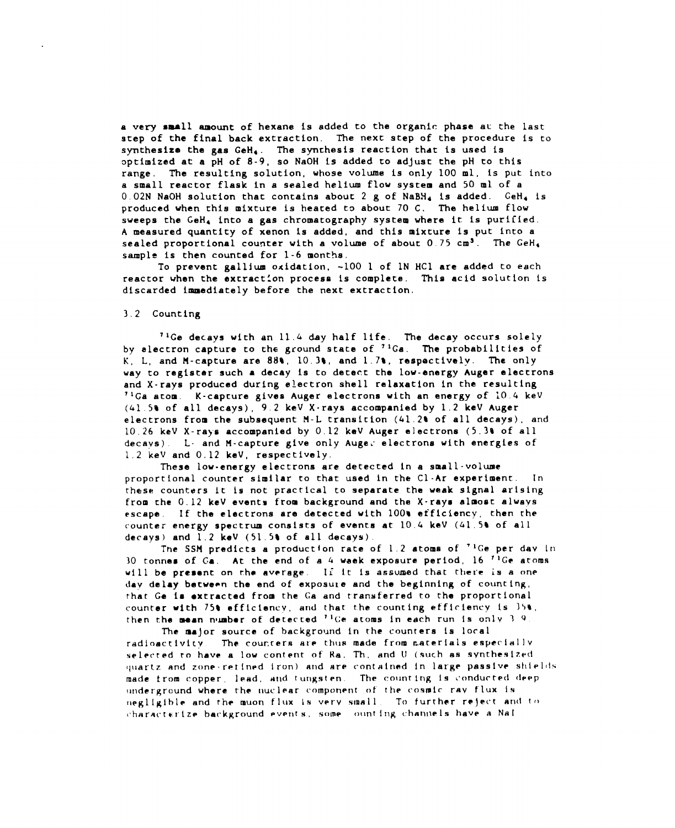**a very small amount of hexane is added to the organic phase a~ the last step of the final back extraction, The next step of the procedure is to synthesize the gas GeHa. The sy-nchesis reaction that is used is aptimized at a pH of 8-9, so NaOH is added to adjust the pH to this range . The resulting solution, whose volume is only <sup>100</sup>** ❑**l, is put into a small reactor flask in a sealed helium flow system and 50 ml of a 0.02N NaOH solution that contains about 2 g of NaBH4 is added. GeH4 is produced when this** ❑**ixture is heated to about 70 C. The helium flow**  $s$ **weeps** the GeH<sub>4</sub> into a gas chromatography system where it is purified. **A** ❑**easured quantity of xenon is added, and this mixture is put into a sealed proportional counter with a volume of about 0.75 ems. The GeHt sample is then counted for 1-6** ❑**onths.**

**To prevent gallium oxidation, -100 1 of lN HC1 are added to each reactor when the excract:on process is complete. This acid solution is discarded immediately before the next extraction.**

#### **3.2 Counting**

**71Ge decays with an 11.L day half life. The decay occurs solely by alectron capture to the ground state of 7~Ga. The probabilities of K, L, and M-capture are 889, 10.3t, and l,7t, respectively. The only way to register such a decay is to detect the low-energy Auger electrons and X-rays produced during electron shell relaxation in the resulting 71Ga atom, K-capcure gives Auger electrons with an energy of 10.4 keV (41.59 of all decays), 9,2 keV X-rays accompanied by 1,2 keV Auger electrons** from **che subsequent fl-L translcion (41.2\* of all decays), and 10.26 keV X-rays accompanied by 0.12 kaV Auger electrons (5.38 of all decays) L- and H-capture give only Augei electrons with energies of 1.2 keV and 0,12 keV, respectively.**

**These low-energy electrons are detected in a small-volume proportional counter similar to chat used in the C1-Ar experiment. In these counters Lc is not practical to** separate **the weak signal arising from che 0.12 keV events from background and the X-rays almoac always escape If the electrons are detected with 100s efficiency, then the counter energy spectrum consists of events at 10,4 keV (L1,5u of all decays) and 1,2 keV (51.5t of all decays).**

**Tne SSfl predicts a production rate of 1.2 stoma of 'lCe per dav in 30 tonnes of Ga, At the end of a 4 waek exposure period, 16 "GF acorns will be present on the average.** If it is assumed that there is a one **day delay between che end of exposule and the beginninu of counting, rhat Ga 1s** ●**xtracted from the Ca and transferred to the proportional counter with 75b efflclency, and that the councing ef'flclency 1s )59, then che mean nluabor of d~tecced II(;e aCom9 ln each run [S only <sup>~</sup> <sup>Q</sup>**

**The maJor source of background in the counters 1s local radioactivity The tour.rer~** J+L"@ **ch~is made from r.arerIals especlallv**  $s$ **elected to have a** low content of Ra. Th, and U (such as synthesized **(~~lartzand z[)ne-ret[npd Iron) and ~re contained in lax-ge passlv~ st]iel~ls made from copper, lend, tilidfungst~n The coiinting Is ~'onducred flPep (Ir)derground where the [Iuclear crrmponenr of the cosmic ray flux Is IIegllglble and the muon flux is verv small To further r~je(.t An(l I(} (.har,qcr~rlze bar.kground Pven[ s, some o(ln! iIIg channels have a Na[**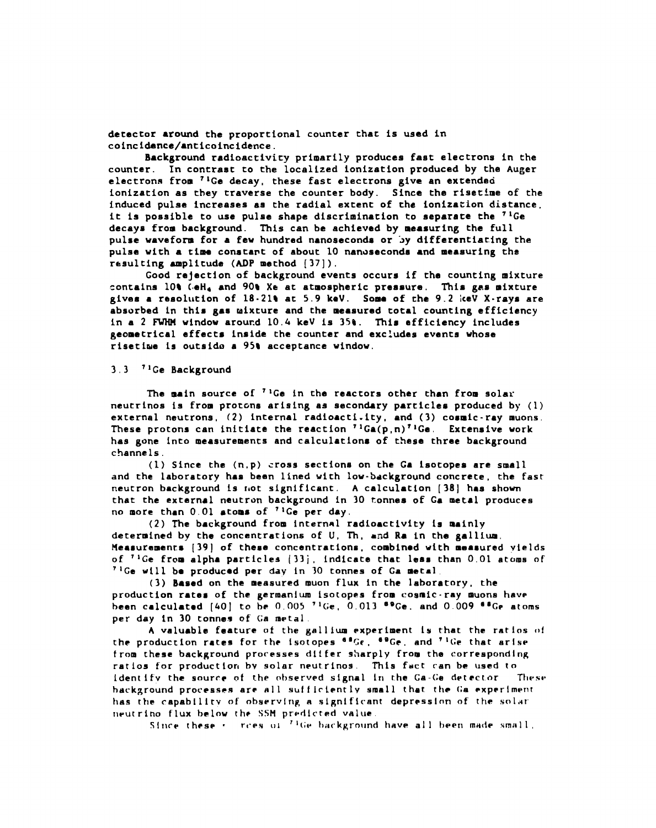**detector** ●**round the proportional counter that Is used in coincidence/anticoincidence .**

**Background radioactivity primarily produces fast electrons in the counter. In contrast to the localized ionization produced by the Auger electronn from 71Ge decay, these fast electrons give an extendeci ionization as they traverse the counter body. Since the risetime of the induced pulse increases as the radial extent of the ionization distance, it is possible to use pulse shape discrimination to separate the 7'Ge decays** from background. This can be achieved by measuring the full **pulse wavefom** for **a few hundred nanosecond or by differentiating the pulse with** <sup>a</sup> time **constant of about <sup>10</sup> nanoseconds** ●**nd** ❑**easuring the resulting amplitude (ADP** ❑**ethod [37]).**

**Good rejection of background** ●**vents occurs if the counting** ❑**ixture contains 109 (.eH. and 90t Xe at atmospheric pressure, This gas mixture gives** ● **resolution of 18.21t at 5.9 keV.** Some **of che 9.2 !ceV X-rays are absorbed in this gas uixcure and the measured total counting efficiency in a 2 M window around 10.4 keV is 3S&. This efficiency includes geometrical effect, inside the counter and excludes events whose risetlue is outsido a 95t acceptance window.**

#### **3,3 71Ge Background**

**The main source of** 71Ge in the reactors **other than from SOlar neutrinos is from protms arising as secondary particles produced by (1) external neutrons, (2) internal radioactivity, and (3) cosmic-ray** ❑ **uons. These protons can initiate che reaction 7iGa(p,n)'lGe, Extensive work has gone Into** ❑ **easurements and calculations of these three background channels**

**(1) Since the (n,p) cross sections on the Ga isotopes are small and the laboratory has bean lined with low-background concrete, the fast neutron background 1s r,ot significant. A calculation [38] has shown chat the** ●**xternal neutron background in 30 tonnes of Ca** ❑**etal produces no** ❑ **ore than 0,01 atoms of 71Ce per day.**

**(2) The background from internal radioactivity 1s mainly determined by the concentrations of U, Th,** ●**nd Ra in the gallium, fleasuramenrs [39] of these concentrations, combined with** ❑**eaaured yields of 71Ge from alpha particles [33; , indicate that less than 0,01 atoms of ~ lGe ~111 be produced per day In 30 Eonnes of Ga** ❑**@tal**

**(3) Based on the** ❑**easured muon flux in the laboratory, the production rates of the germanium isotopes from cosmic-ray** ❑ **uons have bean calculated [f+O] to h~ 0,005 'I(;e, 0.013 'eGe. and 0.009 '~GF atoms per day in 30 tonnes of' Ga metal.**

**A valuable feature of the galllum experiment 1s that the rAtlos ,J! the production rates for th? isotopes at~r, 'DC?, and 'lGe that arise from these background processes dlifer sharply from the corresponrilng ratios for productlort bv solar neutrinos. This fuct ran be used to identify** the source of the observed signal in the Ga-Ge detector These **background proces~~s ar~ all ~u! ! Irientlv small thar the (;a** ●**xperlmpnr** has the capability of observing a significant depression of the solar  $i$  **ILLET FLUX below** the SSM predicted value.

**Since these**  $\cdot$  *rces*  $\circ$ **i**  $^{74}$ Ge background have all been made small,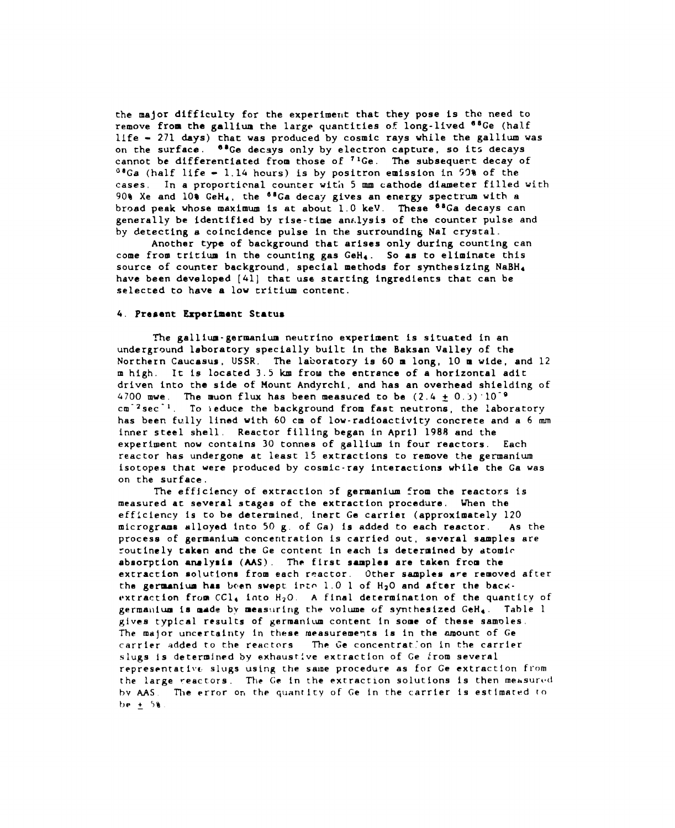**the** ❑**ajor difficulty for the experimerlt that they pose is the need to remove from the gallium the large quantities of long-lived a8Ge (half llfe - 271 days) chat was produced by cosmic rays while the gallium was on che surface. '8Ge decays only by electron capture, so itz decays cannot be differentiated from those of 71Ge. The subsequer.t decay of OOGa (half life - 1.14 hours) is by positron emission In 9'3% of the cases, In a proportional counter with 5 mm cathode diameter filled vith 909 Xe and 108 GeH4, the a8Ga decay gives an energy spectrum with a broad peak whose** ❑**aximum is at about 1.0 keV. These aBGa decays can generally be identified by rise-time an#,lysis of the counter pulse and by detecting a coincidence pulse in the surrounding NaI crystal.**

**Another type of background that arises only during counting can come from tritium in the counting gas GeH4. So as to eliminate this source of counter background, special** ❑**ethods for synthesizing NaBHf have been developed [41] that use starting ingredients that can be selected to have a low critium content.**

#### **4. Present Experiment Status**

**The gallium-germanium neutrino experiment is situated in an underground laboratory specially built in the Baksan Valley of the Northern Caucasus, USSR. The laboratory is 60** ❑ **long, 10** ❑ **wide, and 12** ❑ **high. It is located 3.S km from the entrance of a horizontal adlt driven into the side of Mount Andyrchi, and has an overhead shielding of**  $4700$  mwe. The muon flux has been measured to be  $(2.4 \pm 0.3) \cdot 10^{-9}$ **cm-zsec-l, To }educe the background from fast neutrons, the laboratory has been fully lined with 60 cm of low-radioactivity concrete and a 6 mm inner steel shell, Reactor filling began in April 1988 and the experiment now contains 30 tonnes of gallium in four reactors. Each reactor has undergone at least 15 extractions co remove the germanium isotopes that were produced by cosmic-ray interactions while the Ga was on the surface.**

**The efficiency of extraction of germanium from the reactors is measured at several stagea of the extraction procedure, When the efficiency is to be determined, inert Ge carriel (approximately 120** ❑**icrograms alloyed into <sup>50</sup> g, of Ga) is added to each reactor. As the process of germanium concentration is carried out, several samples are routinely taken and the Ge content in each is determined by atomic** absorption analysis (AAS). The first samples are taken from the **extraction rnolutiono from each reactor. Other samples are removed after tha germanium has ken swept. i~tm 1,0 1 of H20 and after the bac~ extraction from CC14 into H20.** A **final determination of the quantity of gerrna~lium is made by** ❑**eas:iring the volume of synthesized GeH4. Table <sup>1</sup> gives typical results of germanium content in some of these samoles, The major uncertainty in these measureme~ts 1s in the amount of Ge carrier added to che reactors The Ge concentration in the carrier slugs 1s determined by exhaustive extraction of Ce lrom several representati~(, slLIgs using the same procedure as for Ge extraction from the large reactors.** The Ge in the extraction solutions is then measured **bv AAS. The error on the quantlcy of Ge in the carrier 1s estimated (O t)e f 5R**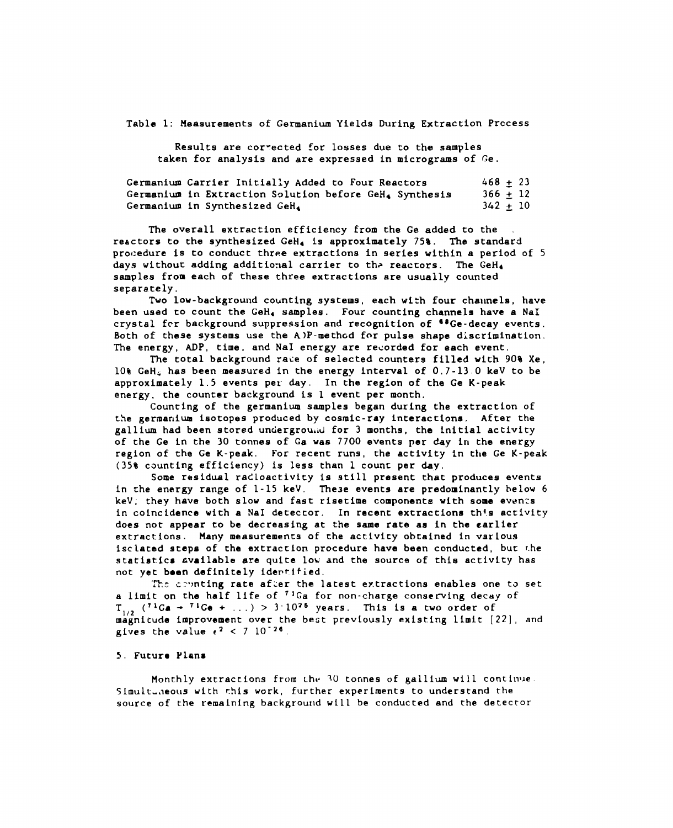**Table 1: Measurements of Germanium Yields During Extraction Prccess**

**Results are cor-ected for losses due to the samples taken for analysis and are expressed in micrograms of Ce.**

| Germanium Carrier Initially Added to Four Reactors     | $468 + 23$ |  |
|--------------------------------------------------------|------------|--|
| Germanium in Extraction Solution before GeH. Synthesis | $366 + 12$ |  |
| Germanium in Synthesized GeH.                          | $342 + 10$ |  |

**The overall extraction efficiency from the Ge added to the . reactors to the synthesized GeH4 is approximately 75%. The standard procedure is to conduct three extractions in series within a period of 5 days without adding additional carrier to th~ reactors. The GeHd samples from each of these three extractions are usually counted separately.**

**Tvo low-background counting systems, each with four cha~mels, have been used to count the GeHa samples. Four counting channels have** a NaI **crystal fcr background suppression and recognition of "Ge-decay events. Both of these systems use the AIP-methcd for pulse shape discrimination.** The energy, ADP, time, and NaI energy are recorded for each event.

**The total background ra~e of selected counters filled with 90% Xe, 109 GeHA has been measured in the energy inte~al of 0,7-13 0 keV to be approximately 1.5 events per day. In the region of the Ge K-peak energy, the counter background is 1 event per month,**

**Counting of the germanium samples began during the extraction of the germar~ium isotopes produced by cosmic-ray interactions, After the gallium had been stored unciergrou,d for 3 months, the initial aceivity of che Ge in the 30 tonnes of Ga was 7700 events per day in the energy region of the Ge K-peak. For recent runs, the activity in the Ge K-peak (35% counting efficiency) is less than 1 count per day.**

**Some residual radioactivity is still present that produces events in the energy range of 1-15 keV. These events are predominantly below 6 keV; they have both slow and fast risetime components with some even:s in coincidence with** a **NaI detector. In recent extractions th{.s activity does not appear to be decreasing at the same rate as in the earlier extract.ions . Many measurements of the activity obtained in various isclaced steps of che extraction procedure have been conducted, but The statistics cvailable are quite low and che source of this activity has not yet bean definitely ide~tified.**

**T1-.scvmting rate af:er the latest extractions enablesi one** to **set a limit** on the half life of <sup>71</sup>Ga for non-charge conserving decay of  $T_{1/2}$  (<sup>71</sup>Ga  $\rightarrow$  <sup>71</sup>Ge + ...) > 3.10<sup>25</sup> years. This is a two order of magnitude improvement over the best previously existing limit [22], and **gives** the **value**  $e^2$  < 7 10<sup>-26</sup>.

#### **5. Futura Plana**

**flonthly extractions from Lhv 10 tor,nes of gallium will conrin!le Slmult-,leous with rhis work, further experiments to understand the source of the remain~ng backgroulid will be conducted and the detector**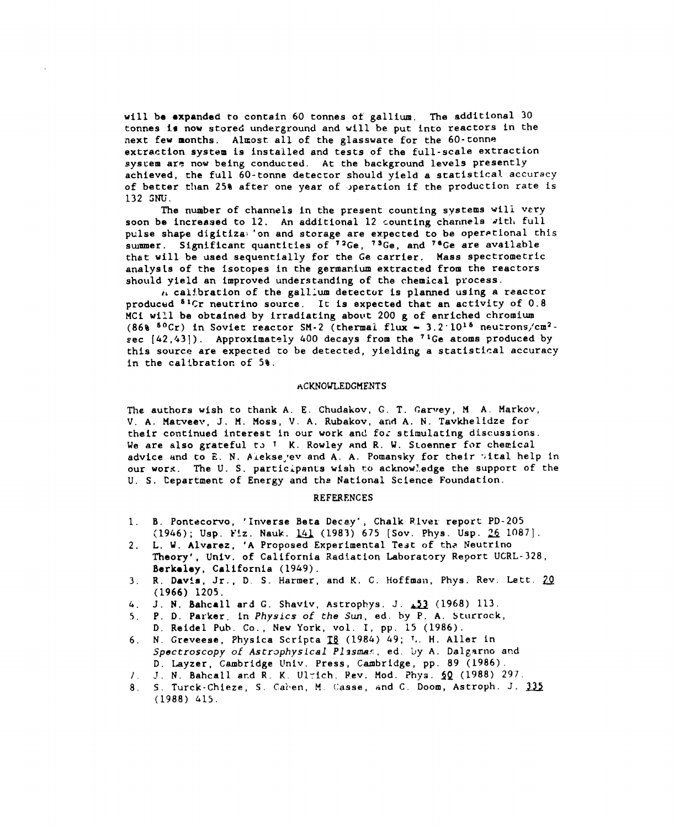**will be** ●**xpanded to contain <sup>60</sup> tonnes of gallium. The additional <sup>30</sup> tonnes Ie now stored underground and will be** put into **reactors in the next few months. AIIEost all of the glassware for the 60-tonne extraction system is installed and tests of the full-scale extraction system are now being conducted. At the background levels presently achieved, the full 60-tonne deteccor should yield a statistical accuracy of better tl~an 25~ after one year of ~peration if the production rate is 132 SNU.**

**The number of channels in the present counting systems wili very soon be increased to 12. An additional 12 counting channels ~ltl, full pulse shape digitiza; 'on and storage are expected to be oper~tlonal this summer. Significant quantities of '2Ge, 7sGe, and 7eGe are available that vill be used sequ~ntially for the Ge carrier, Mass spectrometric analys[s of the isotopes in the germar.ium extracted from the reactors should yield an improved understanding of the chemical ptocess.**

**~~ cai~.bration of the galllum detector is planned using a reactor producud SICr neutrinO source. It is expected that an activity of 0.8 MCi wIL1 be obtained by irradiating about 200 g of enriched chromium (86% 50Cr) in Soviet reactor SM-2 (thermal flux - 3.2" 1015 neu:rons~cm2 sec [42,43]). Approximately 400 decays from the 71Ge atoms produced by this source are expected to be detected, yielding a statistical accuracy in the calibration of 5%.**

#### **ACKNOWLEDGMENTS**

**l%e authors wish to thank A. E. Chudakov, G. T. ~am~ey, M A. Markov, V. A. Matveev, J. M. Moss, V. A. Rubakov, and A. N.** Tavkhelidze **for their continued interest in our work and fo: stimulating discussions.** We are also grateful to <sup>I</sup> K. Rowley and R. W. Stoenner for chemical **advice and to E. N. Aieksedvev and A. A. Pomansky for their 'iital help in our wor~. The** U. S. **participants wish no acknow!.edge the support of the U. S. Department of Energy and the National Science Foundation.**

#### **REFERENCES**

- **1. B. Pontecomo, 'Inverse Beta Decay", Chalk River report PD-205 (1946); Usp. t'!z. Nauk. ~ (1983) 675 [Sov. Phys. Usp. U 1087].**
- **2. L, V. Alvarez, 'A Proposed Experimental Test of th+ Neutrino Theory', Univ. of California Radiation Laboratory Report UCRL-328, Berkeley, California (1949).**
- **3. R, Davis, Jr., D. S. Harmer, and K, C. Hoffman. Phys. Rev. Lett. U (1966) 1205.**
- **4. J. N. Bahcall ard G. Shaviv, Astrophys, J. A (1968) 113.**
- **5. P. D. Parker, in** *Physics of the Sun, ed. by* **P. A. Sturrock, D. Reidel Pub. Co., New York, vol. I, pp. 15 (1986).**
- **6. N. Greveese, Physics Scripts n (1984) 49; l.. H. Aller in**  $Spectroscopy$  *of Astrophysical Plasmas*, ed. by A. Dalgarno and **D. Layzer, Cambridge tlniv. Press, Cambridge, pp. 89 (1986).**
- **1. -.1 N, Bahcall ar.d R, K, Ul:ich, l?ev, Mod. ?hya. ~Q (1988) 297.**
- **8, S. Turck-Chieze, S. Cai'en, M. (:asse, ~nd C. Doom, Astroph. J. ~ (1988) L15.**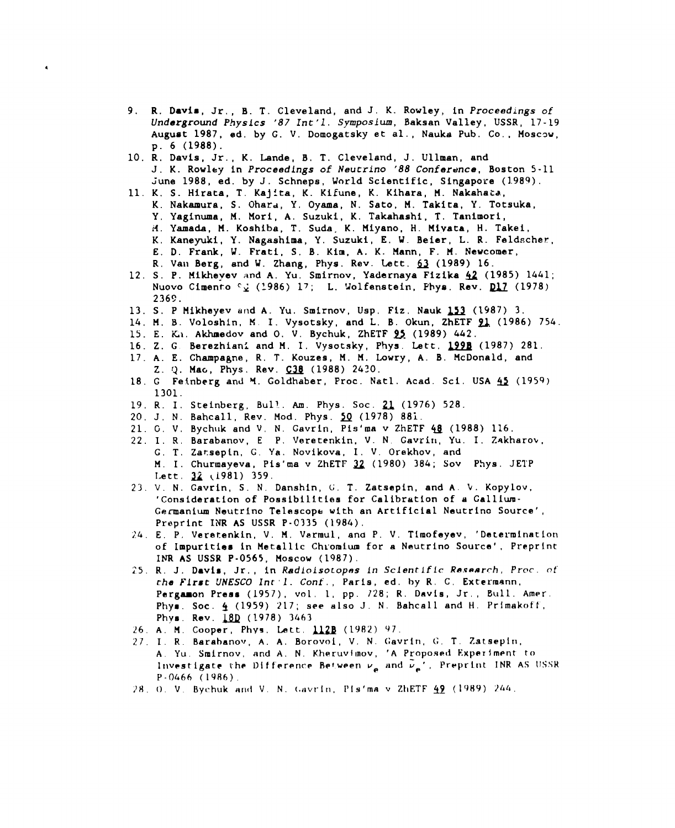- **9. R. Davis, Jr,, B. T. Cleveland, and J. K. Rowley, in** *Proceedings of Underground Physics* **'87** *Int'1, Symposium,* **Baksan Valley, USSR, 17-19 August 1987, ed, by G. V. Domogatsky et al., Nauka Pub. Co., floscw, p. 6 (1988).**
- **10. R, Davis, Jr., K, bride, B, T. Cleveland, J. Unman, and J. K. Rowley in** *Proceedings of* **Neucrino '88** *Conference,* **Boston 5-11 June 1988, ed. by J. Schneps, World Scientific, Singapore (1.989).**
- **11. K. S. Hirata, T. Kajita, K. Kifune, K. Kihara, H. Nakahat.a, K. Nakamura, S. Ohard, Y, Oyama, N. Sate, PI. Takita, Y. Totsuka, Y, Yaginuma, M, Hori, A, Suzuki, K. Takahashi, T. Tanimori, if. Yamada, M. Koshiba, T. Suds. K. Miyano, H. Mivata, H. Takei, K, Kaneydi, Y. Nagashima, Y. Suzuki, E. U. Beier, L. R. Feldscher, E. D. Frank, V. Frati, S, B. Kim, A. K. Mann, F. M. Newcomer, R. Van Berg, and W. Zhang, Phys. Rev. Lett. ~ (1989) 16.**
- **12. S. P. Mikheyev and A. Yu. Smirnov, Yadernaya Fizika ~ (1985) 1441; Nuovo Cimento CQ (1986)** 17; **L. Uolfanatein, PtIya. Rev. ~ (1978) 236!!.**
- **13. S. P flikheyev and A. Yu. Smirnov, Usp. Fiz. Nauk ~ (1987) 3.**
- **14, H. B. Voloshin, M I. Vysotsky, and L. B. Okun, ZhETF U (1986) 754**
- **15. E. Li. Akhmedov and 0. V. Bychuk, ZhETF ~. (1989) 442.**
- **16. Z. G Berezhian; and H. I. Vysotsky, phys. Late. ~ (1987) 281.**
- **17. A. E. Champagne, R. T. Kouzes, M. H. Lowry, A. B. IlcDonald, and Z. Q. Ma6, Phys, Rev. ~ (1988) 2420.**
- **18. G Feinberg and M. Goldhaber, Proc. Natl. Acad. Sci. USA U (1959) 1301.**
- **19. R. I. Steinberg, Bull.. AM. Phys. Sot. u (1976) 528.**
- **20. J. N. Bahcall, Rev. Mod. Phys. ~ (1978) 88i.**
- **21. G. V. Bychuk and V. N. Gavrin, Pis'ma v ZhETF ~ (1988) 116,**
- **22. 1. R. Barabanov, E P. Veretenkin, V. N** *Gavrin,* **Yu. I. Zakharov, G, T. Zarsepin, G, Ya. Novikova, 1. V. Orekhov, and M. 1. Churmayeva, Pis'ma v ZhETF ~ (1980) 384; Sov Phys. JEIP I.ett, ~ ~i981) 359.**
- **23. V. N. Cavrin, S. N, Danshin, G. T. Zatsepin, and A. V. Kopylov, 'Consideration of Possibilities for Calibration of a Calllum-Germanium Neutrino Telescope with an Artificial Neutrlno Source' Preprint INR AS USSR P-0335 (1984).**
- **2L. E, P, Veretenkin, V. H. Varmul, and P. V. Tlmofeyev, 'Determinant o**tl **of Impurities in Metalllc Ch~'omium for a Neutrino Source' , Prepr nt INR AS USSR P-0565, Moscow (1987).**
- **25. R, J. Davis, Jr,, in Radfofsocopas** *in Sclenrlfic Ras-rch, Prw.* f! **f'** *the FJrst UNESCO lnt'1. Conf. ,* **Paris, ed. by R. C. Extermsnn, Pergamon Preaa (1957), vol. 1, pp.** *728;* **R. Davis, Jr., Bull Amer. Phya. SOC. ~ (1959) 217; see also J. N. Bahcall and H. Primakof-f, Phya. Rev. JfQ** *(1978) 3L63*
- *26,* **A, H, Cooper, Phyg, L-ett. w (1982) 97.**
- **?7. I. R. Barahanov, A. A, Borovol, V. N. c;avrln, G T. Zstsepln, A. Yu,** *Smlrnov,* **and A, N. Khe.ruvlmov, 'A Proposed Experiment to lr~vestigatc the Difference Between we nnd ~e' , Pr@pr~nt INR AS ~lSSR P-fM66 (1986).**
- **;~tl.(). V, Bychuk arid V. N, (.uvr-ln, Ply'ma v ZliETF ~~ (19H9) )~i(t.**